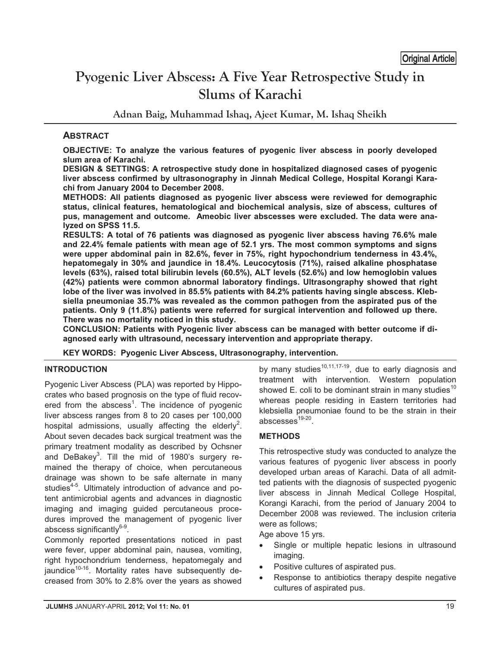# **Pyogenic Liver Abscess: A Five Year Retrospective Study in Slums of Karachi**  Original Article

**Adnan Baig, Muhammad Ishaq, Ajeet Kumar, M. Ishaq Sheikh** 

# **ABSTRACT**

**OBJECTIVE: To analyze the various features of pyogenic liver abscess in poorly developed slum area of Karachi.** 

**DESIGN & SETTINGS: A retrospective study done in hospitalized diagnosed cases of pyogenic liver abscess confirmed by ultrasonography in Jinnah Medical College, Hospital Korangi Karachi from January 2004 to December 2008.** 

**METHODS: All patients diagnosed as pyogenic liver abscess were reviewed for demographic status, clinical features, hematological and biochemical analysis, size of abscess, cultures of pus, management and outcome. Ameobic liver abscesses were excluded. The data were analyzed on SPSS 11.5.** 

**RESULTS: A total of 76 patients was diagnosed as pyogenic liver abscess having 76.6% male and 22.4% female patients with mean age of 52.1 yrs. The most common symptoms and signs were upper abdominal pain in 82.6%, fever in 75%, right hypochondrium tenderness in 43.4%, hepatomegaly in 30% and jaundice in 18.4%. Leucocytosis (71%), raised alkaline phosphatase levels (63%), raised total bilirubin levels (60.5%), ALT levels (52.6%) and low hemoglobin values (42%) patients were common abnormal laboratory findings. Ultrasongraphy showed that right lobe of the liver was involved in 85.5% patients with 84.2% patients having single abscess. Klebsiella pneumoniae 35.7% was revealed as the common pathogen from the aspirated pus of the patients. Only 9 (11.8%) patients were referred for surgical intervention and followed up there. There was no mortality noticed in this study.** 

**CONCLUSION: Patients with Pyogenic liver abscess can be managed with better outcome if diagnosed early with ultrasound, necessary intervention and appropriate therapy.** 

**KEY WORDS: Pyogenic Liver Abscess, Ultrasonography, intervention.**

# **INTRODUCTION**

Pyogenic Liver Abscess (PLA) was reported by Hippocrates who based prognosis on the type of fluid recovered from the abscess<sup>1</sup>. The incidence of pyogenic liver abscess ranges from 8 to 20 cases per 100,000 hospital admissions, usually affecting the elderly<sup>2</sup>. About seven decades back surgical treatment was the primary treatment modality as described by Ochsner and DeBakey<sup>3</sup>. Till the mid of 1980's surgery remained the therapy of choice, when percutaneous drainage was shown to be safe alternate in many studies<sup>4-5</sup>. Ultimately introduction of advance and potent antimicrobial agents and advances in diagnostic imaging and imaging guided percutaneous procedures improved the management of pyogenic liver abscess significantly $6-9$ .

Commonly reported presentations noticed in past were fever, upper abdominal pain, nausea, vomiting, right hypochondrium tenderness, hepatomegaly and jaundice<sup>10-16</sup>. Mortality rates have subsequently decreased from 30% to 2.8% over the years as showed by many studies $10,11,17-19$ , due to early diagnosis and treatment with intervention. Western population showed E. coli to be dominant strain in many studies<sup>10</sup> whereas people residing in Eastern territories had klebsiella pneumoniae found to be the strain in their abscesses $19-20$ .

# **METHODS**

This retrospective study was conducted to analyze the various features of pyogenic liver abscess in poorly developed urban areas of Karachi. Data of all admitted patients with the diagnosis of suspected pyogenic liver abscess in Jinnah Medical College Hospital, Korangi Karachi, from the period of January 2004 to December 2008 was reviewed. The inclusion criteria were as follows;

Age above 15 yrs.

- - Single or multiple hepatic lesions in ultrasound imaging.
- -Positive cultures of aspirated pus.
- - Response to antibiotics therapy despite negative cultures of aspirated pus.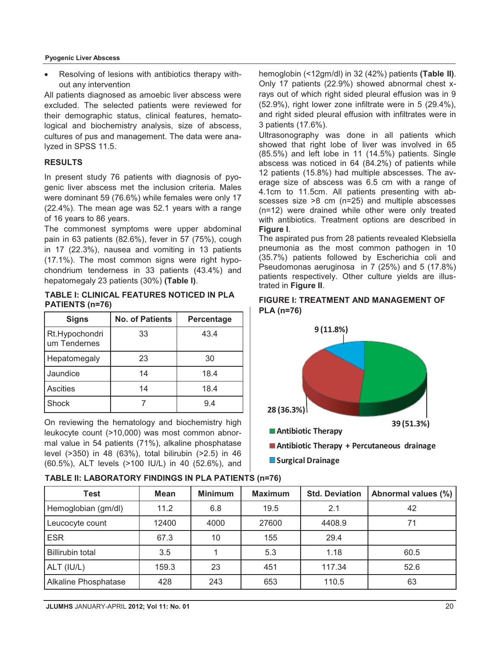#### **Pyogenic Liver Abscess**

- Resolving of lesions with antibiotics therapy without any intervention

All patients diagnosed as amoebic liver abscess were excluded. The selected patients were reviewed for their demographic status, clinical features, hematological and biochemistry analysis, size of abscess, cultures of pus and management. The data were analyzed in SPSS 11.5.

## **RESULTS**

In present study 76 patients with diagnosis of pyogenic liver abscess met the inclusion criteria. Males were dominant 59 (76.6%) while females were only 17 (22.4%). The mean age was 52.1 years with a range of 16 years to 86 years.

The commonest symptoms were upper abdominal pain in 63 patients (82.6%), fever in 57 (75%), cough in 17 (22.3%), nausea and vomiting in 13 patients (17.1%). The most common signs were right hypochondrium tenderness in 33 patients (43.4%) and hepatomegaly 23 patients (30%) **(Table I)**.

**TABLE I: CLINICAL FEATURES NOTICED IN PLA PATIENTS (n=76)**

| <b>Signs</b>                   | <b>No. of Patients</b> | Percentage |  |
|--------------------------------|------------------------|------------|--|
| Rt.Hypochondri<br>um Tendernes | 33                     | 43.4       |  |
| Hepatomegaly                   | 23                     | 30         |  |
| Jaundice                       | 14                     | 18.4       |  |
| <b>Ascities</b>                | 14                     | 18.4       |  |
| Shock                          |                        | 9.4        |  |

On reviewing the hematology and biochemistry high leukocyte count (>10,000) was most common abnormal value in 54 patients (71%), alkaline phosphatase level (>350) in 48 (63%), total bilirubin (>2.5) in 46 (60.5%), ALT levels (>100 IU/L) in 40 (52.6%), and hemoglobin (<12gm/dl) in 32 (42%) patients **(Table II)**. Only 17 patients (22.9%) showed abnormal chest xrays out of which right sided pleural effusion was in 9 (52.9%), right lower zone infiltrate were in 5 (29.4%), and right sided pleural effusion with infiltrates were in 3 patients (17.6%).

Ultrasonography was done in all patients which showed that right lobe of liver was involved in 65 (85.5%) and left lobe in 11 (14.5%) patients. Single abscess was noticed in 64 (84.2%) of patients while 12 patients (15.8%) had multiple abscesses. The average size of abscess was 6.5 cm with a range of 4.1cm to 11.5cm. All patients presenting with abscesses size >8 cm (n=25) and multiple abscesses (n=12) were drained while other were only treated with antibiotics. Treatment options are described in **Figure I**.

The aspirated pus from 28 patients revealed Klebsiella pneumonia as the most common pathogen in 10 (35.7%) patients followed by Escherichia coli and Pseudomonas aeruginosa in 7 (25%) and 5 (17.8%) patients respectively. Other culture yields are illustrated in **Figure II**.

## **FIGURE I: TREATMENT AND MANAGEMENT OF PLA (n=76)**



**Surgical Drainage**

| <b>Test</b>                 | Mean  | <b>Minimum</b> | <b>Maximum</b> | <b>Std. Deviation</b> | Abnormal values (%) |
|-----------------------------|-------|----------------|----------------|-----------------------|---------------------|
| Hemoglobian (gm/dl)         | 11.2  | 6.8            | 19.5           | 2.1                   | 42                  |
| Leucocyte count             | 12400 | 4000           | 27600          | 4408.9                | 71                  |
| <b>ESR</b>                  | 67.3  | 10             | 155            | 29.4                  |                     |
| <b>Billirubin total</b>     | 3.5   |                | 5.3            | 1.18                  | 60.5                |
| ALT (IU/L)                  | 159.3 | 23             | 451            | 117.34                | 52.6                |
| <b>Alkaline Phosphatase</b> | 428   | 243            | 653            | 110.5                 | 63                  |

## **TABLE II: LABORATORY FINDINGS IN PLA PATIENTS (n=76)**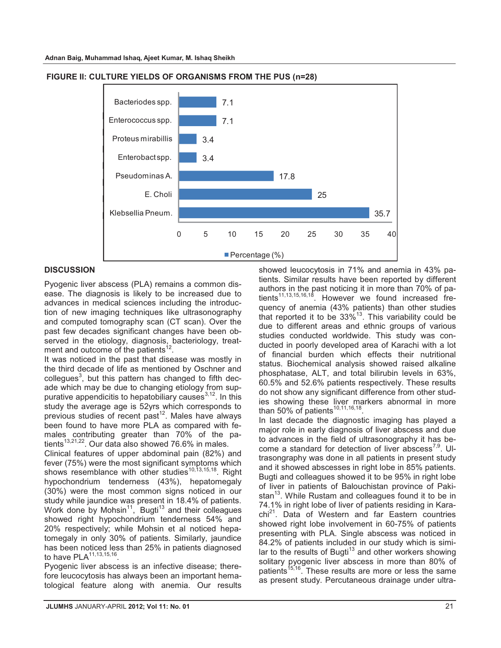

#### **FIGURE II: CULTURE YIELDS OF ORGANISMS FROM THE PUS (n=28)**

## **DISCUSSION**

Pyogenic liver abscess (PLA) remains a common disease. The diagnosis is likely to be increased due to advances in medical sciences including the introduction of new imaging techniques like ultrasonography and computed tomography scan (CT scan). Over the past few decades significant changes have been observed in the etiology, diagnosis, bacteriology, treatment and outcome of the patients<sup>12</sup>.

It was noticed in the past that disease was mostly in the third decade of life as mentioned by Oschner and collegues<sup>3</sup>, but this pattern has changed to fifth decade which may be due to changing etiology from suppurative appendicitis to hepatobiliary causes  $3,12$ . In this study the average age is 52yrs which corresponds to previous studies of recent past $12$ . Males have always been found to have more PLA as compared with females contributing greater than 70% of the patients<sup>13,21,22</sup>. Our data also showed 76.6% in males.

Clinical features of upper abdominal pain (82%) and fever (75%) were the most significant symptoms which shows resemblance with other studies<sup>10,13,15,18</sup>. Right hypochondrium tenderness (43%), hepatomegaly (30%) were the most common signs noticed in our study while jaundice was present in 18.4% of patients. Work done by Mohsin<sup>11</sup>, Bugti<sup>13</sup> and their colleagues showed right hypochondrium tenderness 54% and 20% respectively; while Mohsin et al noticed hepatomegaly in only 30% of patients. Similarly, jaundice has been noticed less than 25% in patients diagnosed to have PLA<sup>11,13,15,16</sup>

Pyogenic liver abscess is an infective disease; therefore leucocytosis has always been an important hematological feature along with anemia. Our results showed leucocytosis in 71% and anemia in 43% patients. Similar results have been reported by different authors in the past noticing it in more than 70% of patients<sup>11,13,15,16,18</sup>. However we found increased frequency of anemia (43% patients) than other studies that reported it to be  $33\%$ <sup>13</sup>. This variability could be due to different areas and ethnic groups of various studies conducted worldwide. This study was conducted in poorly developed area of Karachi with a lot of financial burden which effects their nutritional status. Biochemical analysis showed raised alkaline phosphatase, ALT, and total bilirubin levels in 63%, 60.5% and 52.6% patients respectively. These results do not show any significant difference from other studies showing these liver markers abnormal in more than 50% of patients<sup>10,11,16,18</sup>

In last decade the diagnostic imaging has played a major role in early diagnosis of liver abscess and due to advances in the field of ultrasonography it has become a standard for detection of liver abscess<sup>7,9</sup>. Ultrasongraphy was done in all patients in present study and it showed abscesses in right lobe in 85% patients. Bugti and colleagues showed it to be 95% in right lobe of liver in patients of Balouchistan province of Pakistan $^{13}$ . While Rustam and colleagues found it to be in 74.1% in right lobe of liver of patients residing in Kara- $\text{chi}^{21}$ . Data of Western and far Eastern countries showed right lobe involvement in 60-75% of patients presenting with PLA. Single abscess was noticed in 84.2% of patients included in our study which is similar to the results of Bugti<sup>13</sup> and other workers showing solitary pyogenic liver abscess in more than 80% of patients<sup>15,16</sup>. These results are more or less the same as present study. Percutaneous drainage under ultra-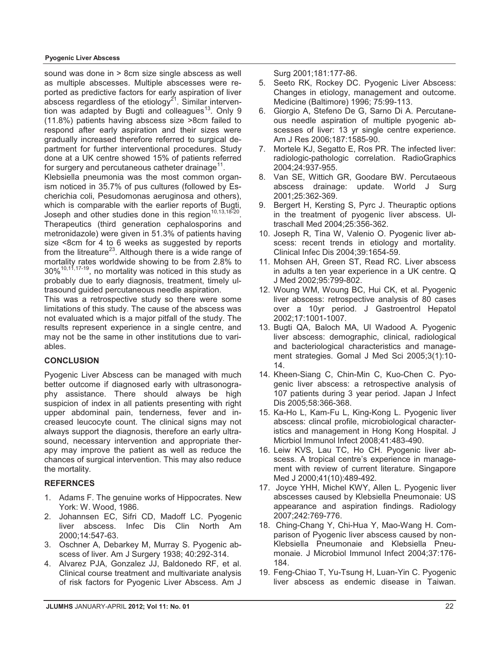#### **Pyogenic Liver Abscess**

sound was done in > 8cm size single abscess as well as multiple abscesses. Multiple abscesses were reported as predictive factors for early aspiration of liver abscess regardless of the etiology<sup>21</sup>. Similar intervention was adapted by Bugti and colleagues<sup>13</sup>. Only 9 (11.8%) patients having abscess size >8cm failed to respond after early aspiration and their sizes were gradually increased therefore referred to surgical department for further interventional procedures. Study done at a UK centre showed 15% of patients referred for surgery and percutaneous catheter drainage $^{11}$ .

Klebsiella pneumonia was the most common organism noticed in 35.7% of pus cultures (followed by Escherichia coli, Pesudomonas aeruginosa and others), which is comparable with the earlier reports of Bugti. Joseph and other studies done in this region<sup>10,13,18-20</sup>

Therapeutics (third generation cephalosporins and metronidazole) were given in 51.3% of patients having size <8cm for 4 to 6 weeks as suggested by reports from the litreature<sup>23</sup>. Although there is a wide range of mortality rates worldwide showing to be from 2.8% to  $30\%$ <sup>10,11,17-19</sup>, no mortality was noticed in this study as probably due to early diagnosis, treatment, timely ultrasound guided percutaneous needle aspiration.

This was a retrospective study so there were some limitations of this study. The cause of the abscess was not evaluated which is a major pitfall of the study. The results represent experience in a single centre, and may not be the same in other institutions due to variables.

## **CONCLUSION**

Pyogenic Liver Abscess can be managed with much better outcome if diagnosed early with ultrasonography assistance. There should always be high suspicion of index in all patients presenting with right upper abdominal pain, tenderness, fever and increased leucocyte count. The clinical signs may not always support the diagnosis, therefore an early ultrasound, necessary intervention and appropriate therapy may improve the patient as well as reduce the chances of surgical intervention. This may also reduce the mortality.

## **REFERNCES**

- 1. Adams F. The genuine works of Hippocrates. New York: W. Wood, 1986.
- 2. Johannsen EC, Sifri CD, Madoff LC. Pyogenic liver abscess. Infec Dis Clin North Am 2000;14:547-63.
- 3. Oschner A, Debarkey M, Murray S. Pyogenic abscess of liver. Am J Surgery 1938; 40:292-314.
- 4. Alvarez PJA, Gonzalez JJ, Baldonedo RF, et al. Clinical course treatment and multivariate analysis of risk factors for Pyogenic Liver Abscess. Am J

Surg 2001;181:177-86.

- 5. Seeto RK, Rockey DC. Pyogenic Liver Abscess: Changes in etiology, management and outcome. Medicine (Baltimore) 1996; 75:99-113.
- 6. Giorgio A, Stefeno De G, Sarno Di A. Percutaneous needle aspiration of multiple pyogenic abscesses of liver: 13 yr single centre experience. Am J Res 2006;187:1585-90.
- 7. Mortele KJ, Segatto E, Ros PR. The infected liver: radiologic-pathologic correlation. RadioGraphics 2004;24:937-955.
- 8. Van SE, Wittich GR, Goodare BW. Percutaeous abscess drainage: update. World J Surg 2001;25:362-369.
- 9. Bergert H, Kersting S, Pyrc J. Theuraptic options in the treatment of pyogenic liver abscess. Ultraschall Med 2004;25:356-362.
- 10. Joseph R, Tina W, Valenio O. Pyogenic liver abscess: recent trends in etiology and mortality. Clinical Infec Dis 2004;39:1654-59.
- 11. Mohsen AH, Green ST, Read RC. Liver abscess in adults a ten year experience in a UK centre. Q J Med 2002;95:799-802.
- 12. Woung WM, Woung BC, Hui CK, et al. Pyogenic liver abscess: retrospective analysis of 80 cases over a 10yr period. J Gastroentrol Hepatol 2002;17:1001-1007.
- 13. Bugti QA, Baloch MA, Ul Wadood A. Pyogenic liver abscess: demographic, clinical, radiological and bacteriological characteristics and management strategies. Gomal J Med Sci 2005;3(1):10- 14.
- 14. Kheen-Siang C, Chin-Min C, Kuo-Chen C. Pyogenic liver abscess: a retrospective analysis of 107 patients during 3 year period. Japan J Infect Dis 2005;58:366-368.
- 15. Ka-Ho L, Kam-Fu L, King-Kong L. Pyogenic liver abscess: clincal profile, microbiological characteristics and management in Hong Kong Hospital. J Micrbiol Immunol Infect 2008;41:483-490.
- 16. Leiw KVS, Lau TC, Ho CH. Pyogenic liver abscess. A tropical centre's experience in management with review of current literature. Singapore Med J 2000;41(10):489-492.
- 17. Joyce YHH, Michel KWY, Allen L. Pyogenic liver abscesses caused by Klebsiella Pneumonaie: US appearance and aspiration findings. Radiology 2007;242:769-776.
- 18. Ching-Chang Y, Chi-Hua Y, Mao-Wang H. Comparison of Pyogenic liver abscess caused by non-Klebsiella Pneumonaie and Klebsiella Pneumonaie. J Microbiol Immunol Infect 2004;37:176- 184.
- 19. Feng-Chiao T, Yu-Tsung H, Luan-Yin C. Pyogenic liver abscess as endemic disease in Taiwan.